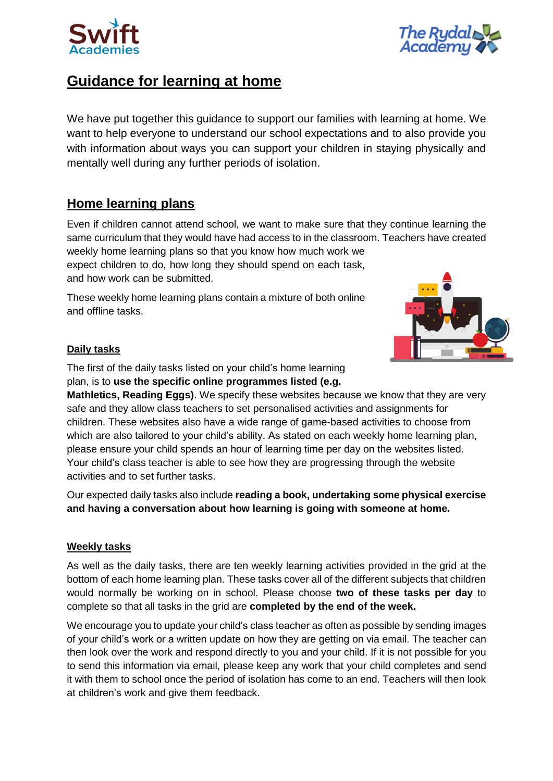



# **Guidance for learning at home**

We have put together this guidance to support our families with learning at home. We want to help everyone to understand our school expectations and to also provide you with information about ways you can support your children in staying physically and mentally well during any further periods of isolation.

# **Home learning plans**

Even if children cannot attend school, we want to make sure that they continue learning the same curriculum that they would have had access to in the classroom. Teachers have created weekly home learning plans so that you know how much work we

expect children to do, how long they should spend on each task, and how work can be submitted.

These weekly home learning plans contain a mixture of both online and offline tasks.



### **Daily tasks**

The first of the daily tasks listed on your child's home learning plan, is to **use the specific online programmes listed (e.g.** 

**Mathletics, Reading Eggs)**. We specify these websites because we know that they are very safe and they allow class teachers to set personalised activities and assignments for children. These websites also have a wide range of game-based activities to choose from which are also tailored to your child's ability. As stated on each weekly home learning plan, please ensure your child spends an hour of learning time per day on the websites listed. Your child's class teacher is able to see how they are progressing through the website activities and to set further tasks.

Our expected daily tasks also include **reading a book, undertaking some physical exercise and having a conversation about how learning is going with someone at home.**

### **Weekly tasks**

As well as the daily tasks, there are ten weekly learning activities provided in the grid at the bottom of each home learning plan. These tasks cover all of the different subjects that children would normally be working on in school. Please choose **two of these tasks per day** to complete so that all tasks in the grid are **completed by the end of the week.**

We encourage you to update your child's class teacher as often as possible by sending images of your child's work or a written update on how they are getting on via email. The teacher can then look over the work and respond directly to you and your child. If it is not possible for you to send this information via email, please keep any work that your child completes and send it with them to school once the period of isolation has come to an end. Teachers will then look at children's work and give them feedback.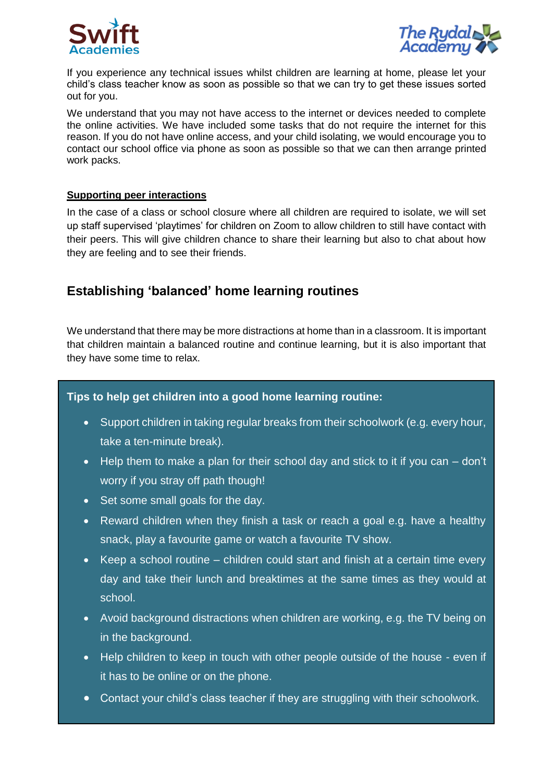



If you experience any technical issues whilst children are learning at home, please let your child's class teacher know as soon as possible so that we can try to get these issues sorted out for you.

We understand that you may not have access to the internet or devices needed to complete the online activities. We have included some tasks that do not require the internet for this reason. If you do not have online access, and your child isolating, we would encourage you to contact our school office via phone as soon as possible so that we can then arrange printed work packs.

#### **Supporting peer interactions**

In the case of a class or school closure where all children are required to isolate, we will set up staff supervised 'playtimes' for children on Zoom to allow children to still have contact with their peers. This will give children chance to share their learning but also to chat about how they are feeling and to see their friends.

### **Establishing 'balanced' home learning routines**

We understand that there may be more distractions at home than in a classroom. It is important that children maintain a balanced routine and continue learning, but it is also important that they have some time to relax.

#### **Tips to help get children into a good home learning routine:**

- Support children in taking regular breaks from their schoolwork (e.g. every hour, take a ten-minute break).
- $\bullet$  Help them to make a plan for their school day and stick to it if you can  $-$  don't worry if you stray off path though!
- Set some small goals for the day.
- Reward children when they finish a task or reach a goal e.g. have a healthy snack, play a favourite game or watch a favourite TV show.
- Keep a school routine children could start and finish at a certain time every day and take their lunch and breaktimes at the same times as they would at school.
- Avoid background distractions when children are working, e.g. the TV being on in the background.
- Help children to keep in touch with other people outside of the house even if it has to be online or on the phone.
- Contact your child's class teacher if they are struggling with their schoolwork.